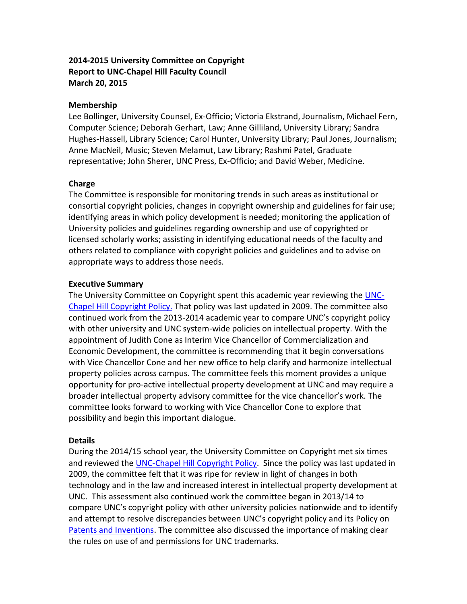# **2014-2015 University Committee on Copyright Report to UNC-Chapel Hill Faculty Council March 20, 2015**

### **Membership**

Lee Bollinger, University Counsel, Ex-Officio; Victoria Ekstrand, Journalism, Michael Fern, Computer Science; Deborah Gerhart, Law; Anne Gilliland, University Library; Sandra Hughes-Hassell, Library Science; Carol Hunter, University Library; Paul Jones, Journalism; Anne MacNeil, Music; Steven Melamut, Law Library; Rashmi Patel, Graduate representative; John Sherer, UNC Press, Ex-Officio; and David Weber, Medicine.

### **Charge**

The Committee is responsible for monitoring trends in such areas as institutional or consortial copyright policies, changes in copyright ownership and guidelines for fair use; identifying areas in which policy development is needed; monitoring the application of University policies and guidelines regarding ownership and use of copyrighted or licensed scholarly works; assisting in identifying educational needs of the faculty and others related to compliance with copyright policies and guidelines and to advise on appropriate ways to address those needs.

### **Executive Summary**

The University Committee on Copyright spent this academic year reviewing the [UNC-](http://policy.sites.unc.edu/files/2013/05/Copyright.pdf)[Chapel Hill Copyright Policy.](http://policy.sites.unc.edu/files/2013/05/Copyright.pdf) That policy was last updated in 2009. The committee also continued work from the 2013-2014 academic year to compare UNC's copyright policy with other university and UNC system-wide policies on intellectual property. With the appointment of Judith Cone as Interim Vice Chancellor of Commercialization and Economic Development, the committee is recommending that it begin conversations with Vice Chancellor Cone and her new office to help clarify and harmonize intellectual property policies across campus. The committee feels this moment provides a unique opportunity for pro-active intellectual property development at UNC and may require a broader intellectual property advisory committee for the vice chancellor's work. The committee looks forward to working with Vice Chancellor Cone to explore that possibility and begin this important dialogue.

## **Details**

During the 2014/15 school year, the University Committee on Copyright met six times and reviewed the [UNC-Chapel Hill Copyright Policy.](http://policy.sites.unc.edu/files/2013/05/Copyright.pdf) Since the policy was last updated in 2009, the committee felt that it was ripe for review in light of changes in both technology and in the law and increased interest in intellectual property development at UNC. This assessment also continued work the committee began in 2013/14 to compare UNC's copyright policy with other university policies nationwide and to identify and attempt to resolve discrepancies between UNC's copyright policy and its Policy on [Patents and Inventions.](http://policy.sites.unc.edu/files/2013/05/Patent-Invention.pdf) The committee also discussed the importance of making clear the rules on use of and permissions for UNC trademarks.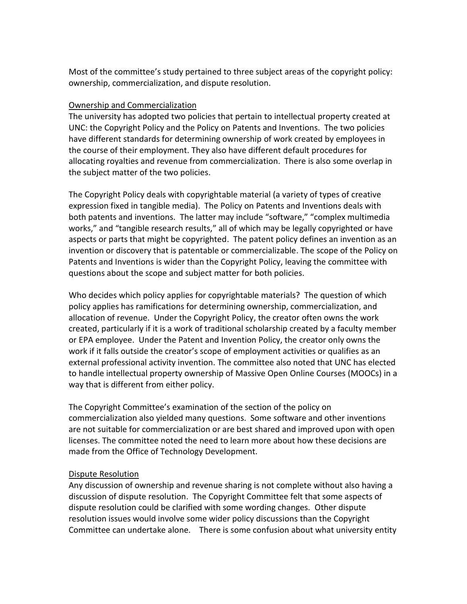Most of the committee's study pertained to three subject areas of the copyright policy: ownership, commercialization, and dispute resolution.

### Ownership and Commercialization

The university has adopted two policies that pertain to intellectual property created at UNC: the Copyright Policy and the Policy on Patents and Inventions. The two policies have different standards for determining ownership of work created by employees in the course of their employment. They also have different default procedures for allocating royalties and revenue from commercialization. There is also some overlap in the subject matter of the two policies.

The Copyright Policy deals with copyrightable material (a variety of types of creative expression fixed in tangible media). The Policy on Patents and Inventions deals with both patents and inventions. The latter may include "software," "complex multimedia works," and "tangible research results," all of which may be legally copyrighted or have aspects or parts that might be copyrighted. The patent policy defines an invention as an invention or discovery that is patentable or commercializable. The scope of the Policy on Patents and Inventions is wider than the Copyright Policy, leaving the committee with questions about the scope and subject matter for both policies.

Who decides which policy applies for copyrightable materials? The question of which policy applies has ramifications for determining ownership, commercialization, and allocation of revenue. Under the Copyright Policy, the creator often owns the work created, particularly if it is a work of traditional scholarship created by a faculty member or EPA employee. Under the Patent and Invention Policy, the creator only owns the work if it falls outside the creator's scope of employment activities or qualifies as an external professional activity invention. The committee also noted that UNC has elected to handle intellectual property ownership of Massive Open Online Courses (MOOCs) in a way that is different from either policy.

The Copyright Committee's examination of the section of the policy on commercialization also yielded many questions. Some software and other inventions are not suitable for commercialization or are best shared and improved upon with open licenses. The committee noted the need to learn more about how these decisions are made from the Office of Technology Development.

### Dispute Resolution

Any discussion of ownership and revenue sharing is not complete without also having a discussion of dispute resolution. The Copyright Committee felt that some aspects of dispute resolution could be clarified with some wording changes. Other dispute resolution issues would involve some wider policy discussions than the Copyright Committee can undertake alone. There is some confusion about what university entity